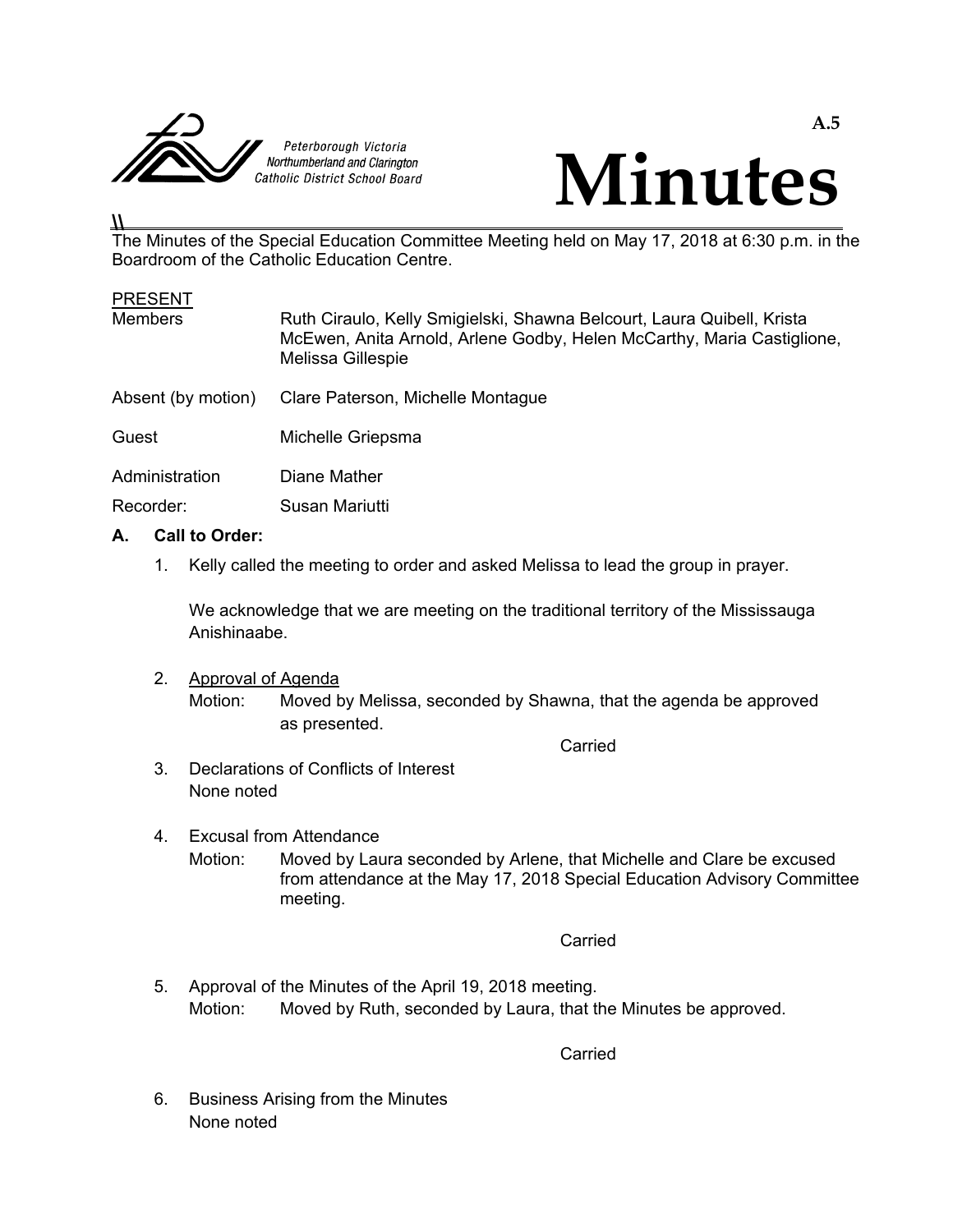



#### **\\**

The Minutes of the Special Education Committee Meeting held on May 17, 2018 at 6:30 p.m. in the Boardroom of the Catholic Education Centre.

| <b>PRESENT</b>     |                                                                                                                                                                       |
|--------------------|-----------------------------------------------------------------------------------------------------------------------------------------------------------------------|
| <b>Members</b>     | Ruth Ciraulo, Kelly Smigielski, Shawna Belcourt, Laura Quibell, Krista<br>McEwen, Anita Arnold, Arlene Godby, Helen McCarthy, Maria Castiglione,<br>Melissa Gillespie |
| Absent (by motion) | Clare Paterson, Michelle Montague                                                                                                                                     |
| Guest              | Michelle Griepsma                                                                                                                                                     |
| Administration     | Diane Mather                                                                                                                                                          |
| Recorder:          | Susan Mariutti                                                                                                                                                        |

#### **A. Call to Order:**

1. Kelly called the meeting to order and asked Melissa to lead the group in prayer.

 We acknowledge that we are meeting on the traditional territory of the Mississauga Anishinaabe.

2. Approval of Agenda

 Motion: Moved by Melissa, seconded by Shawna, that the agenda be approved as presented.

Carried

- 3. Declarations of Conflicts of Interest None noted
- 4. Excusal from Attendance Motion: Moved by Laura seconded by Arlene, that Michelle and Clare be excused from attendance at the May 17, 2018 Special Education Advisory Committee meeting.

**Carried Carried Carried Carried Carried Carried Carried Carried Carried Carried Carried Carried Carried Carried Carried Carried Carried Carried Carried Carried Carried Carried Carried Carried Carried Carried Carried Carri** 

 5. Approval of the Minutes of the April 19, 2018 meeting. Motion: Moved by Ruth, seconded by Laura, that the Minutes be approved.

**Carried Carried Carried Carried Carried Carried Carried Carried Carried Carried Carried Carried Carried Carried Carried Carried Carried Carried Carried Carried Carried Carried Carried Carried Carried Carried Carried Carri** 

 6. Business Arising from the Minutes None noted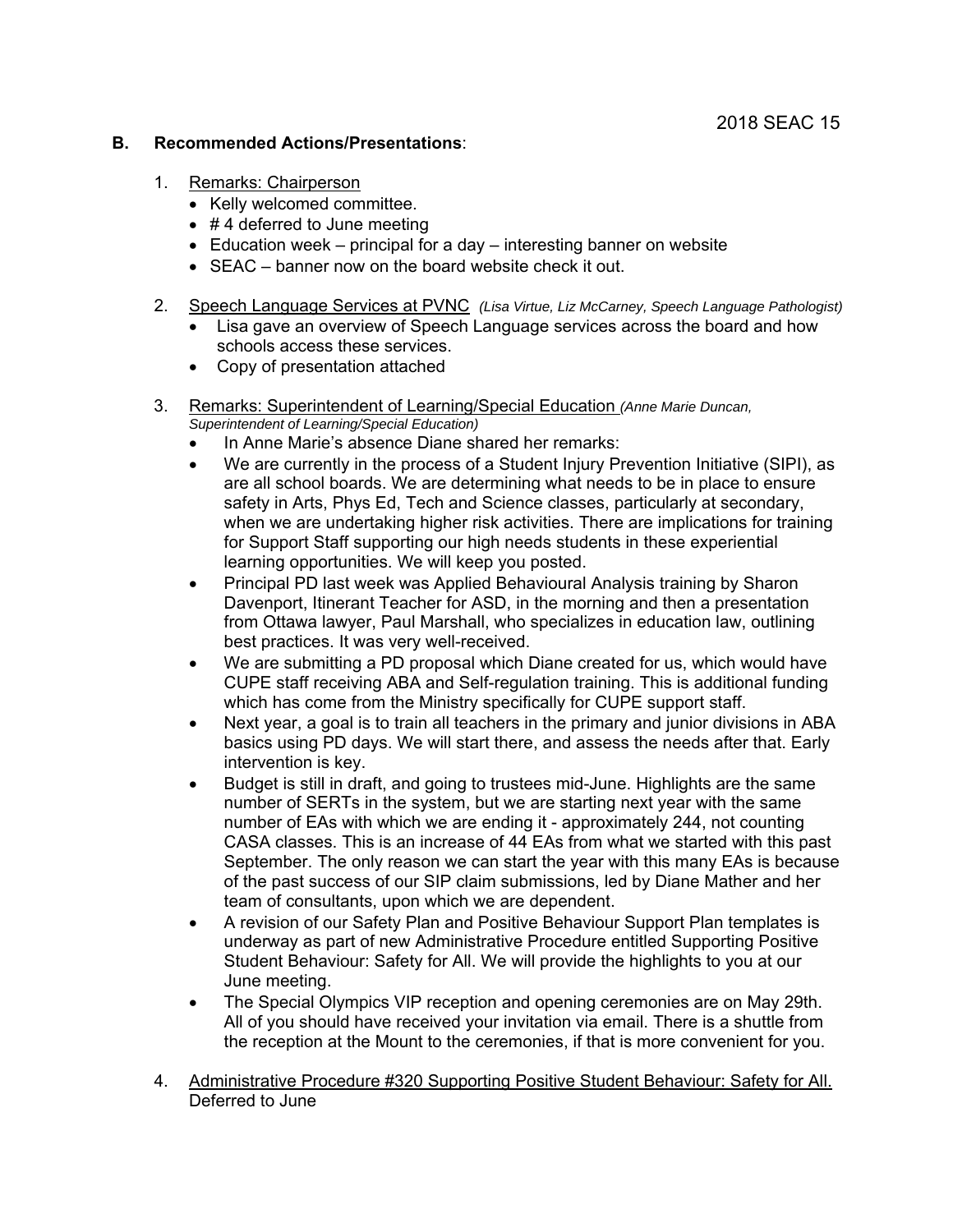#### **B. Recommended Actions/Presentations**:

- 1. Remarks: Chairperson
	- Kelly welcomed committee.
	- $\bullet$  #4 deferred to June meeting
	- Education week principal for a day interesting banner on website
	- SEAC banner now on the board website check it out.
- 2. Speech Language Services at PVNC *(Lisa Virtue, Liz McCarney, Speech Language Pathologist)* 
	- Lisa gave an overview of Speech Language services across the board and how schools access these services.
	- Copy of presentation attached
- 3. Remarks: Superintendent of Learning/Special Education *(Anne Marie Duncan, Superintendent of Learning/Special Education)*
	- In Anne Marie's absence Diane shared her remarks:
	- We are currently in the process of a Student Injury Prevention Initiative (SIPI), as are all school boards. We are determining what needs to be in place to ensure safety in Arts, Phys Ed, Tech and Science classes, particularly at secondary, when we are undertaking higher risk activities. There are implications for training for Support Staff supporting our high needs students in these experiential learning opportunities. We will keep you posted.
	- Principal PD last week was Applied Behavioural Analysis training by Sharon Davenport, Itinerant Teacher for ASD, in the morning and then a presentation from Ottawa lawyer, Paul Marshall, who specializes in education law, outlining best practices. It was very well-received.
	- We are submitting a PD proposal which Diane created for us, which would have CUPE staff receiving ABA and Self-regulation training. This is additional funding which has come from the Ministry specifically for CUPE support staff.
	- Next year, a goal is to train all teachers in the primary and junior divisions in ABA basics using PD days. We will start there, and assess the needs after that. Early intervention is key.
	- Budget is still in draft, and going to trustees mid-June. Highlights are the same number of SERTs in the system, but we are starting next year with the same number of EAs with which we are ending it - approximately 244, not counting CASA classes. This is an increase of 44 EAs from what we started with this past September. The only reason we can start the year with this many EAs is because of the past success of our SIP claim submissions, led by Diane Mather and her team of consultants, upon which we are dependent.
	- A revision of our Safety Plan and Positive Behaviour Support Plan templates is underway as part of new Administrative Procedure entitled Supporting Positive Student Behaviour: Safety for All. We will provide the highlights to you at our June meeting.
	- The Special Olympics VIP reception and opening ceremonies are on May 29th. All of you should have received your invitation via email. There is a shuttle from the reception at the Mount to the ceremonies, if that is more convenient for you.
- 4. Administrative Procedure #320 Supporting Positive Student Behaviour: Safety for All. Deferred to June